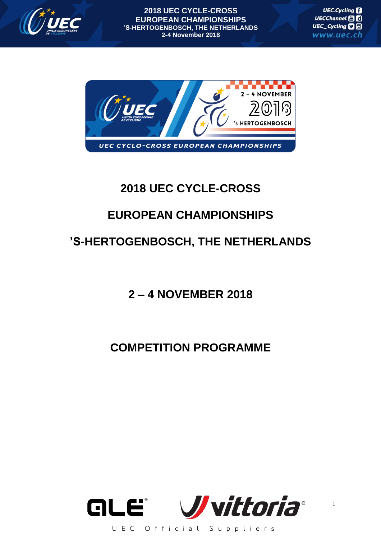

**2018 UEC CYCLE-CROSS EUROPEAN CHAMPIONSHIPS 'S-HERTOGENBOSCH, THE NETHERLANDS 2-4 November 2018**

**UEC.Cycling** UECChannel Ha UEC\_Cycling **D** www.uec.ch



### **2018 UEC CYCLE-CROSS**

## **EUROPEAN CHAMPIONSHIPS**

# **'S-HERTOGENBOSCH, THE NETHERLANDS**

### **2 – 4 NOVEMBER 2018**

### **COMPETITION PROGRAMME**

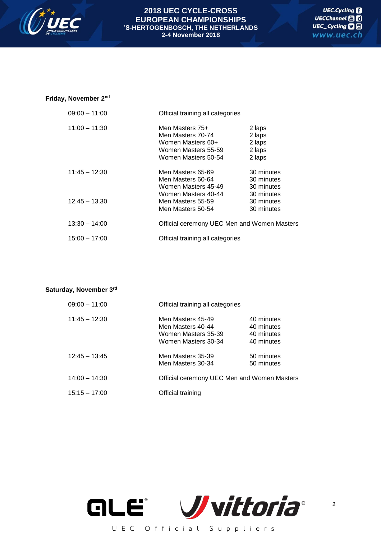

#### **2018 UEC CYCLE-CROSS EUROPEAN CHAMPIONSHIPS 'S-HERTOGENBOSCH, THE NETHERLANDS 2-4 November 2018**

### **Friday, November 2nd**

| $09:00 - 11:00$ | Official training all categories            |            |
|-----------------|---------------------------------------------|------------|
| $11:00 - 11:30$ | Men Masters 75+                             | 2 laps     |
|                 | Men Masters 70-74                           | 2 laps     |
|                 | Women Masters 60+                           | 2 laps     |
|                 | Women Masters 55-59                         | 2 laps     |
|                 | Women Masters 50-54                         | 2 laps     |
| $11:45 - 12:30$ | Men Masters 65-69                           | 30 minutes |
|                 | Men Masters 60-64                           | 30 minutes |
|                 | Women Masters 45-49                         | 30 minutes |
|                 | Women Masters 40-44                         | 30 minutes |
| $12.45 - 13.30$ | Men Masters 55-59                           | 30 minutes |
|                 | Men Masters 50-54                           | 30 minutes |
| $13:30 - 14:00$ | Official ceremony UEC Men and Women Masters |            |
| $15:00 - 17:00$ | Official training all categories            |            |

#### **Saturday, November 3rd**

| 09:00 - 11:00   | Official training all categories                                                     |                                                      |
|-----------------|--------------------------------------------------------------------------------------|------------------------------------------------------|
| $11:45 - 12:30$ | Men Masters 45-49<br>Men Masters 40-44<br>Women Masters 35-39<br>Women Masters 30-34 | 40 minutes<br>40 minutes<br>40 minutes<br>40 minutes |
| $12:45 - 13:45$ | Men Masters 35-39<br>Men Masters 30-34                                               | 50 minutes<br>50 minutes                             |
| $14:00 - 14:30$ | Official ceremony UEC Men and Women Masters                                          |                                                      |
| $15:15 - 17:00$ | Official training                                                                    |                                                      |